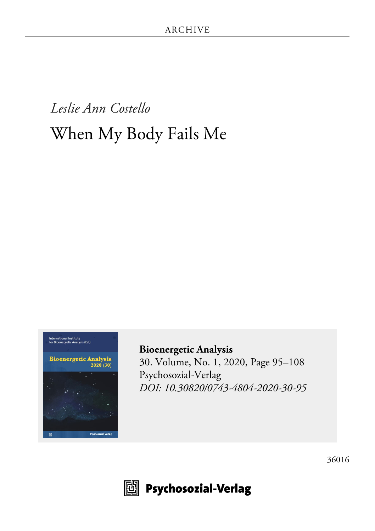# *Leslie Ann Costello* When My Body Fails Me



**[Bioenergetic Analysis](http://www.psychosozial-verlag.de/8295)** [30. Volume, No. 1, 2020, Page 95–108](http://www.psychosozial-verlag.de/8295) [Psychosozial-Verlag](http://www.psychosozial-verlag.de/8295) *[DOI: 10.30820/0743-4804-2020-30-95](https://doi.org/10.30820/0743-4804-2020-30-95)*





 $\boxplus$  Psychosozial-Verlag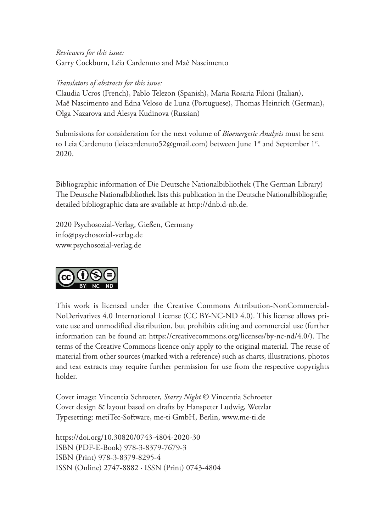*Reviewers for this issue:* Garry Cockburn, Léia Cardenuto and Maê Nascimento

#### *Translators of abstracts for this issue:*

Claudia Ucros (French), Pablo Telezon (Spanish), Maria Rosaria Filoni (Italian), Maê Nascimento and Edna Veloso de Luna (Portuguese), Thomas Heinrich (German), Olga Nazarova and Alesya Kudinova (Russian)

Submissions for consideration for the next volume of *Bioenergetic Analysis* must be sent to Leia Cardenuto (leiacardenuto52@gmail.com) between June 1<sup>st</sup> and September 1<sup>st</sup>, 2020.

Bibliographic information of Die Deutsche Nationalbibliothek (The German Library) The Deutsche Nationalbibliothek lists this publication in the Deutsche Nationalbibliografie; detailed bibliographic data are available at http://dnb.d-nb.de.

2020 Psychosozial-Verlag, Gießen, Germany info@psychosozial-verlag.de www.psychosozial-verlag.de



This work is licensed under the Creative Commons Attribution-NonCommercial-NoDerivatives 4.0 International License (CC BY-NC-ND 4.0). This license allows private use and unmodified distribution, but prohibits editing and commercial use (further information can be found at: https://creativecommons.org/licenses/by-nc-nd/4.0/). The terms of the Creative Commons licence only apply to the original material. The reuse of material from other sources (marked with a reference) such as charts, illustrations, photos and text extracts may require further permission for use from the respective copyrights holder.

Cover image: Vincentia Schroeter, *Starry Night* © Vincentia Schroeter Cover design & layout based on drafts by Hanspeter Ludwig, Wetzlar Typesetting: metiTec-Software, me-ti GmbH, Berlin, www.me-ti.de

https://doi.org/10.30820/0743-4804-2020-30 ISBN (PDF-E-Book) 978-3-8379-7679-3 ISBN (Print) 978-3-8379-8295-4 ISSN (Online) 2747-8882 · ISSN (Print) 0743-4804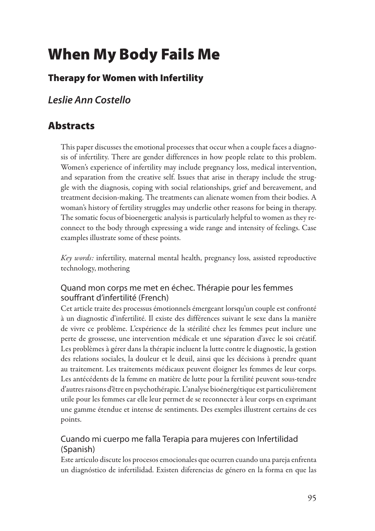## **[Wh](http/p0001)en My Body Fails Me**

## **[Th](http/p0002)erapy for Women with Infertility**

*Leslie Ann Costello*

## **[Ab](http/p0004)stracts**

[Th](http/p0005)is paper discusses the emotional processes that occur when a couple faces a diagnosis of infertility. There are gender differences in how people relate to this problem. Women's experience of infertility may include pregnancy loss, medical intervention, and separation from the creative self. Issues that arise in therapy include the strug<sup>g</sup>le with the diagnosis, coping with social relationships, grief and bereavement, and treatment decision-making. The treatments can alienate women from their bodies. <sup>A</sup> woman's history of fertility struggles may underlie other reasons for being in therapy. The somatic focus of bioenergetic analysis is particularly helpful to women as they reconnect to the body through expressing <sup>a</sup> wide range and intensity of feelings. Case examples illustrate some of these points.

*Key words:* infertility, maternal mental health, pregnancy loss, assisted reproductive technology, mothering

#### [Qu](http/p0006)and mon corps me met en échec. Thérapie pour les femmes souffrant d'infertilité (French)

[Ce](http/p0007)t article traite des processus émotionnels émergeant lorsqu'un couple est confronté <sup>à</sup> un diagnostic d'infertilité. Il existe des différences suivant le sexe dans la manière de vivre ce problème. L'expérience de la stérilité chez les femmes peut inclure une perte de grossesse, une intervention médicale et une séparation d'avec le soi créatif. Les problèmes <sup>à</sup> <sup>g</sup>érer dans la thérapie incluent la lutte contre le diagnostic, la gestion des relations sociales, la douleur et le deuil, ainsi que les décisions <sup>à</sup> prendre quant au traitement. Les traitements médicaux peuvent éloigner les femmes de leur corps. Les antécédents de la femme en matière de lutte pour la fertilité peuvent sous-tendre d'autres raisons d'être en psychothérapie. L'analyse bioénergétique est particulièrement utile pour les femmes car elle leur permet de se reconnecter <sup>à</sup> leur corps en exprimant une gamme étendue et intense de sentiments. Des exemples illustrent certains de ces points.

#### [Cu](http/p0008)ando mi cuerpo me falla Terapia para mujeres con Infertilidad (Spanish)

[Es](http/p0009)te artículo discute los procesos emocionales que ocurren cuando una pareja enfrenta un diagnóstico de infertilidad. Existen diferencias de <sup>g</sup>énero en la forma en que las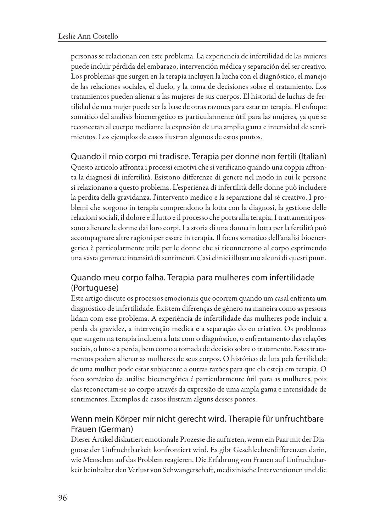personas serelacionan con este problema. Laexperiencia deinfertilidad delas mujeres puede incluir pérdida del embarazo, intervención médica y separación del ser creativo. Los problemas que surgen en la terapia incluyen la lucha con el diagnóstico, el manejo de las relaciones sociales, el duelo, <sup>y</sup> la toma de decisiones sobre el tratamiento. Los tratamientos pueden alienar <sup>a</sup> las mujeres de sus cuerpos. El historial de luchas de fertilidad de una mujer puede ser la base de otras razones para estar en terapia. El enfoque somático del análisis bioenergético es particularmente útil para las mujeres, ya que se reconectan al cuerpo mediante la expresión de una amplia gama e intensidad de sentimientos. Los ejemplos de casos ilustran algunos de estos puntos.

[Qu](http/p0010)ando ilmio corpomi tradisce. Terapia per donne non fertili (Italian) [Qu](http/p0011)esto articolo affronta i processi emotivi che si verificano quando una coppia affronta la diagnosi di infertilità. Esistono differenze di genere nel modo in cui le persone si relazionano <sup>a</sup> questo problema. L'esperienza di infertilità delle donne pu<sup>ò</sup> includere la perdita della gravidanza, l'intervento medico <sup>e</sup> la separazione dal sé creativo. <sup>I</sup> problemi che sorgono in terapia comprendono la lotta con la diagnosi, la gestione delle relazioni sociali, il dolore e il lutto e il processo che porta alla terapia. I trattamenti possono alienare le donne dai loro corpi. La storia di una donna in lotta per la fertilità può accompagnare altre ragioni per essere in terapia. Il focus somatico dell'analisi bioenergetica <sup>è</sup> particolarmente utile per le donne che si riconnettono al corpo esprimendo

#### [Qu](http/p0012)ando meu corpo falha. Terapia para mulheres com infertilidade (Portuguese)

una vasta gamma e intensità di sentimenti. Casi clinici illustrano alcuni di questi punti.

[Es](http/p0013)te artigo discute os processos emocionais que ocorrem quando um casal enfrenta um diagnóstico de infertilidade. Existem diferenças de gênero na maneira como as pessoas lidam com esse problema. A experiência de infertilidade das mulheres pode incluir a perda da gravidez, <sup>a</sup> intervenção médica <sup>e</sup> <sup>a</sup> separação do eu criativo. Os problemas quesurgem naterapiaincluem alutacom <sup>o</sup> diagnóstico, <sup>o</sup> enfrentamento das relações sociais, <sup>o</sup> luto ea perda, bem como atomada de decisão sobre <sup>o</sup> tratamento. Esses tratamentos podem alienar as mulheres de seus corpos. <sup>O</sup> histórico de luta pela fertilidade de uma mulher pode estar subjacente <sup>a</sup> outras razões para que ela esteja em terapia. <sup>O</sup> foco somático da análise bioenergética <sup>é</sup> particularmente útil para as mulheres, pois elas reconectam-se ao corpo através da expressão de uma ampla gama <sup>e</sup> intensidade de sentimentos. Exemplos de casos ilustram alguns desses pontos.

#### [We](http/p0014)nn mein Körper mir nicht gerecht wird. Therapie für unfruchtbare Frauen (German)

[Di](http/p0015)eserArtikel diskutiertemotionale Prozesse dieauftreten,wenn ein Paarmit derDiagnose der Unfruchtbarkeit konfrontiert wird. Es <sup>g</sup>ibt Geschlechterdifferenzen darin, wie Menschen auf das Problem reagieren. Die Erfahrung von Frauen auf Unfruchtbarkeit beinhaltet den Verlust von Schwangerschaft, medizinische Interventionen und die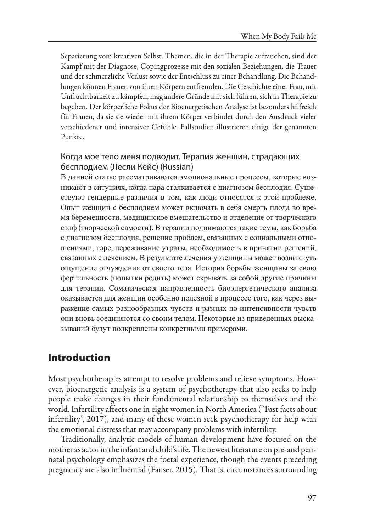Separierung vom kreativen Selbst. Themen, die in der Therapie auftauchen, sind der Kampf mit der Diagnose, Copingprozesse mit den sozialen Beziehungen, die Trauer und der schmerzliche Verlust sowie der Entschluss zu einer Behandlung. Die Behandlungen können Frauen von ihren Körpern entfremden. Die Geschichte einer Frau, mit Unfruchtbarkeit zu kämpfen, mag andere Gründe mit sich führen, sich in Therapie zu begeben. Der körperliche Fokus der Bioenergetischen Analyse ist besonders hilfreich für Frauen, da sie sie wieder mit ihrem Körper verbindet durch den Ausdruck vieler verschiedener und intensiver Gefühle. Fallstudien illustrieren einige der genannten Punkte.

#### [Ко](http/p0016)гда мое тело меня подводит. Терапия женщин, страдающих бесплодием (Лесли Кейс) (Russian)

[В](http/p0017) данной статье рассматриваются эмоциональные процессы, которые возникают <sup>в</sup> ситуциях, когда пара сталкивается <sup>с</sup> диагнозом бесплодия. Существуют гендерные различия <sup>в</sup> том, как люди относятся <sup>к</sup> этой проблеме. Опыт женщин <sup>с</sup> бесплодием может включать <sup>в</sup> себя смерть плода во время беременности, медицинское вмешательство <sup>и</sup> отделение от творческого сэлф (творческой самости). В терапии поднимаются такие темы, как борьба <sup>с</sup> диагнозом бесплодия, решение проблем, связанных <sup>с</sup> социальными отношениями, горе, переживание утраты, необходимость <sup>в</sup> принятии решений, связанных с лечением. В результате лечения у женщины может возникнуть ощущение отчуждения от своего тела. История борьбы женщины за свою фертильность (попытки родить) может скрывать за собой другие причины для терапии. Соматическая направленность биоэнергетического анализа оказывается для женщин особенно полезной <sup>в</sup> процессе того, как через выражение самых разнообразных чувств <sup>и</sup> разных по интенсивности чувств они вновь соединяются со своим телом. Некоторые из приведенных высказываний будут подкреплены конкретными примерами.

## **[In](http/p0018)troduction**

[Mo](http/p0019)st psychotherapies attempt to resolve problems and relieve symptoms. However, bioenergetic analysis is <sup>a</sup> system of psychotherapy that also seeks to help people make changes in their fundamental relationship to themselves and the world. Infertility affects one in eight women in North America ("Fast facts about infertility", 2017), and many of these women seek psychotherapy for help with the emotional distress that may accompany problems with infertility.

[Tr](http/p0020)aditionally, analytic models of human development have focused on the mother as actor in the infant and child's life. The newest literature on pre-and perinatal psychology emphasizes the foetal experience, though the events preceding pregnancy are also influential (Fauser, 2015). That is, circumstances surrounding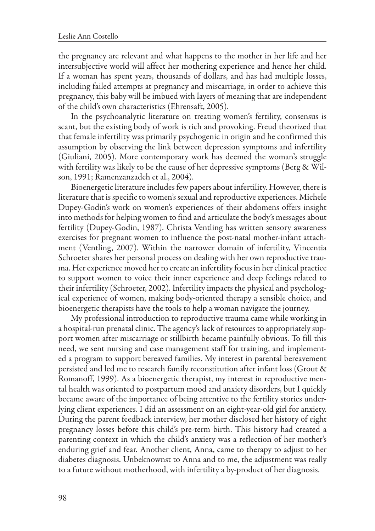the pregnancy are relevant and what happens to the mother in her life and her intersubjective world will affect her mothering experience and hence her child. If <sup>a</sup> woman has spent years, thousands of dollars, and has had multiple losses, including failed attempts at pregnancy and miscarriage, in order to achieve this pregnancy, this baby will be imbued with layers of meaning that are independent of the child's own characteristics (Ehrensaft, 2005).

[In](http/p0021) the psychoanalytic literature on treating women's fertility, consensus is scant, but the existing body of work is rich and provoking. Freud theorized that that female infertility was primarily psychogenic in origin and he confirmed this assumption by observing the link between depression symptoms and infertility (Giuliani, 2005). More contemporary work has deemed the woman's struggle with fertility was likely to be the cause of her depressive symptoms (Berg & Wilson, 1991; Ramenzanzadeh et al., 2004).

[Bi](http/p0022)oenergetic literature includes few papers about infertility. However, there is literature that is specific to women's sexual and reproductive experiences. Michele Dupey-Godin's work on women's experiences of their abdomens offers insight into methods for helping women to find and articulate the body's messages about fertility (Dupey-Godin, 1987). Christa Ventling has written sensory awareness exercises for pregnant women to influence the post-natal mother-infant attachment (Ventling, 2007). Within the narrower domain of infertility, Vincentia Schroeter shares her personal process on dealing with her own reproductive trauma. Her experience moved her to create an infertility focus in her clinical practice to support women to voice their inner experience and deep feelings related to their infertility (Schroeter, 2002). Infertility impacts the physical and psychological experience of women, making body-oriented therapy <sup>a</sup> sensible choice, and bioenergetic therapists have the tools to help <sup>a</sup> woman navigate the journey.

[My](http/p0023) professional introduction to reproductive trauma came while working in a hospital-run prenatal clinic. The agency's lack of resources to appropriately support women after miscarriage or stillbirth became painfully obvious. To fill this need, we sent nursing and case management staff for training, and implemented <sup>a</sup> program to support bereaved families. My interest in parental bereavement persisted and led me to research family reconstitution after infant loss (Grout & Romanoff, 1999). As <sup>a</sup> bioenergetic therapist, my interest in reproductive mental health was oriented to postpartum mood and anxiety disorders, but <sup>I</sup> quickly became aware of the importance of being attentive to the fertility stories underlying client experiences. <sup>I</sup> did an assessment on an eight-year-old <sup>g</sup>irl for anxiety. During the parent feedback interview, her mother disclosed her history of eight pregnancy losses before this child's pre-term birth. This history had created <sup>a</sup> parenting context in which the child's anxiety was <sup>a</sup> reflection of her mother's enduring grief and fear. Another client, Anna, came to therapy to adjust to her diabetes diagnosis. Unbeknownst to Anna and to me, the adjustment was really to afuture without motherhood, with infertility <sup>a</sup> by-product of her diagnosis.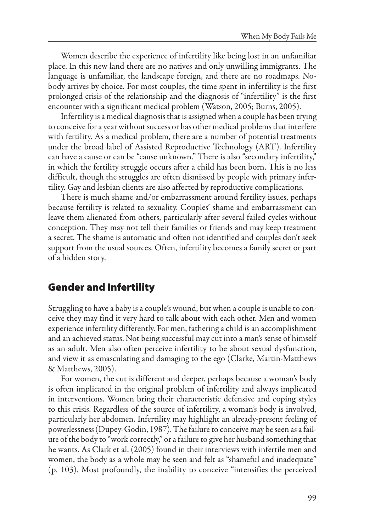[Wo](http/p0024)men describe the experience of infertility like being lost in an unfamiliar <sup>p</sup>lace. In this new land there are no natives and only unwilling immigrants. The language is unfamiliar, the landscape foreign, and there are no roadmaps. Nobody arrives by choice. For most couples, the time spent in infertility is the first prolonged crisis of the relationship and the diagnosis of "infertility" is the first encounter with asignificant medical problem (Watson, 2005; Burns, 2005).

[In](http/p0025)fertility is a medical diagnosis that is assigned when a couple has been trying to conceive for a year without success or has other medical problems that interfere with fertility. As <sup>a</sup> medical problem, there are <sup>a</sup> number of potential treatments under the broad label of Assisted Reproductive Technology (ART). Infertility can have <sup>a</sup> cause or can be "cause unknown." There is also "secondary infertility," in which the fertility struggle occurs after <sup>a</sup> child has been born. This is no less difficult, though the struggles are often dismissed by people with primary infertility. Gay and lesbian clients are also affected by reproductive complications.

[Th](http/p0026)ere is much shame and/or embarrassment around fertility issues, perhaps because fertility is related to sexuality. Couples' shame and embarrassment can leave them alienated from others, particularly after several failed cycles without conception. They may not tell their families or friends and may keep treatment <sup>a</sup> secret. The shame is automatic and often not identified and couples don't seek support from the usual sources. Often, infertility becomes <sup>a</sup> family secret or part of <sup>a</sup> hidden story.

## **[Ge](http/p0027)nder and Infertility**

[St](http/p0028)ruggling to have a baby is a couple's wound, but when a couple is unable to conceive they may find it very hard to talk about with each other. Men and women experience infertility differently. For men, fathering a child is an accomplishment and an achieved status. Not being successful may cut into <sup>a</sup> man's sense of himself as an adult. Men also often perceive infertility to be about sexual dysfunction, and view it as emasculating and damaging to the ego (Clarke, Martin-Matthews & Matthews, 2005).

[Fo](http/p0029)r women, the cut is different and deeper, perhaps because <sup>a</sup> woman's body is often implicated in the original problem of infertility and always implicated in interventions. Women bring their characteristic defensive and coping styles to this crisis. Regardless of the source of infertility, <sup>a</sup> woman's body is involved, particularly her abdomen. Infertility may highlight an already-present feeling of powerlessness (Dupey-Godin, 1987). The failure to conceive may be seen as a failure ofthe body to "work correctly," orafailureto <sup>g</sup>ive her husband something that he wants. As Clark et al. (2005) found in their interviews with infertile men and women, the body as <sup>a</sup> whole may be seen and felt as "shameful and inadequate" (p. 103). Most profoundly, the inability to conceive "intensifies the perceived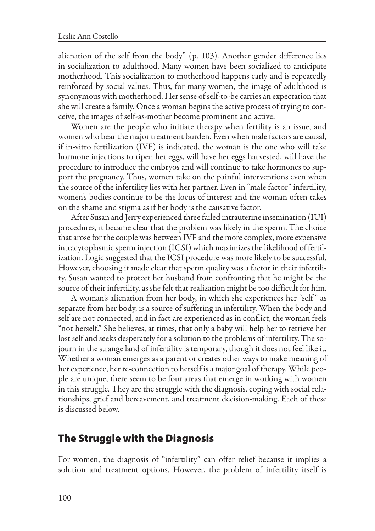alienation of the self from the body" (p. 103). Another gender difference lies in socialization to adulthood. Many women have been socialized to anticipate motherhood. This socialization to motherhood happens early and is repeatedly reinforced by social values. Thus, for many women, the image of adulthood is synonymous with motherhood. Her sense of self-to-be carries an expectation that she will create <sup>a</sup> family. Once <sup>a</sup> woman begins the active process of trying to conceive, the images of self-as-mother become prominent and active.

[Wo](http/p0030)men are the people who initiate therapy when fertility is an issue, and women who bear the major treatment burden. Even when male factors are causal, if in-vitro fertilization (IVF) is indicated, the woman is the one who will take hormone injections to ripen her eggs, will have her eggs harvested, will have the procedure to introduce the embryos and will continue to take hormones to support the pregnancy. Thus, women take on the painful interventions even when the source of the infertility lies with her partner. Even in "male factor" infertility, women's bodies continue to be the locus of interest and the woman often takes on the shame and stigma as if her body is the causative factor.

[Af](http/p0031)ter Susan and Jerry experienced three failed intrauterine insemination (IUI) procedures, it became clear that the problem was likely in the sperm. The choice that arose for the couple was between IVF and the more complex, more expensive intracytoplasmic sperm injection (ICSI) which maximizes the likelihood of fertilization. Logic suggested that the ICSI procedure was more likely to be successful. However, choosing it made clear that sperm quality was <sup>a</sup> factor in their infertility. Susan wanted to protect her husband from confronting that he might be the source of their infertility, as she felt that realization might be too difficult for him.

[A](http/p0032) woman's alienation from her body, in which she experiences her "self" as separate from her body, is <sup>a</sup> source of suffering in infertility. When the body and self are not connected, and in fact are experienced as in conflict, the woman feels "not herself." She believes, at times, that only <sup>a</sup> baby will help her to retrieve her lost self and seeks desperately for a solution to the problems of infertility. The sojourn in the strange land of infertility is temporary, though it does not feel like it. Whether <sup>a</sup> woman emerges as <sup>a</sup> parent or creates other ways to make meaning of her experience, her re-connection to herself is a major goal of therapy. While peo<sup>p</sup>le are unique, there seem to be four areas that emerge in working with women in this struggle. They are the struggle with the diagnosis, coping with social relationships, grief and bereavement, and treatment decision-making. Each of these is discussed below.

#### **[Th](http/p0033)e Struggle with the Diagnosis**

[Fo](http/p0034)r women, the diagnosis of "infertility" can offer relief because it implies <sup>a</sup> solution and treatment options. However, the problem of infertility itself is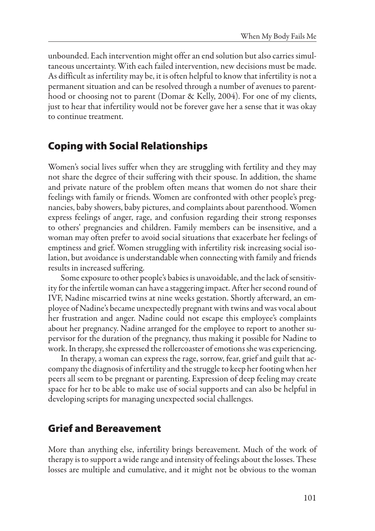unbounded. Each intervention might offeran end solution butalso carries simultaneous uncertainty. With each failed intervention, new decisions must be made. As difficult as infertility may be, it is often helpful to know that infertility is not a permanent situation and can be resolved through a number of avenues to parenthood or choosing not to parent (Domar & Kelly, 2004). For one of my clients, just to hear that infertility would not be forever gave her <sup>a</sup> sense that it was okay to continue treatment.

## **[Co](http/p0035)ping with Social Relationships**

[Wo](http/p0036)men's social lives suffer when they are struggling with fertility and they may not share the degree of their suffering with their spouse. In addition, the shame and private nature of the problem often means that women do not share their feelings with family or friends. Women are confronted with other people's pregnancies, baby showers, baby pictures, and complaints about parenthood. Women express feelings of anger, rage, and confusion regarding their strong responses to others' pregnancies and children. Family members can be insensitive, and <sup>a</sup> woman may often prefer to avoid social situations that exacerbate her feelings of emptiness and grief. Women struggling with infertility risk increasing social isolation, but avoidance is understandable when connecting with family and friends results in increased suffering.

[So](http/p0037)me exposure to other people's babies is unavoidable, and the lack of sensitivity for the infertile woman can have a staggering impact. After her second round of IVF, Nadine miscarried twins at nine weeks gestation. Shortly afterward, an em<sup>p</sup>loyee of Nadine's became unexpectedly pregnant with twinsand was vocalabout her frustration and anger. Nadine could not escape this employee's complaints about her pregnancy. Nadine arranged for the employee to report to another supervisor for the duration of the pregnancy, thus making it possible for Nadine to work. In therapy, she expressed the rollercoaster of emotions she was experiencing.

[In](http/p0038) therapy, <sup>a</sup> woman can express the rage, sorrow, fear, grief and guilt that accompany the diagnosis of infertility and the struggle to keep her footing when her peers all seem to be pregnant or parenting. Expression of deep feeling may create space for her to be able to make use of social supports and can also be helpful in developing scripts for managing unexpected social challenges.

## **[Gr](http/p0039)ief and Bereavement**

[Mo](http/p0040)re than anything else, infertility brings bereavement. Much of the work of therapy is to support a wide range and intensity of feelings about the losses. These losses are multiple and cumulative, and it might not be obvious to the woman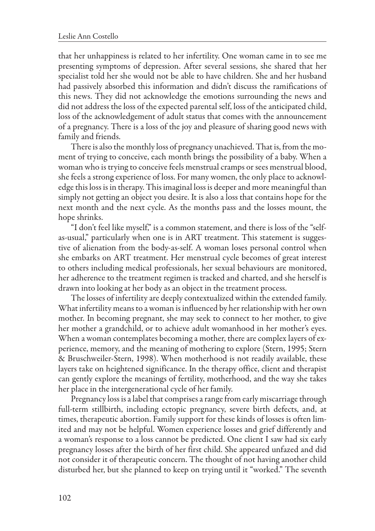that her unhappiness is related to her infertility. One woman came in to see me presenting symptoms of depression. After several sessions, she shared that her specialist told her she would not be able to have children. She and her husband had passively absorbed this information and didn't discuss the ramifications of this news. They did not acknowledge the emotions surrounding the news and did not address the loss of the expected parental self, loss of the anticipated child, loss of the acknowledgement of adult status that comes with the announcement of <sup>a</sup> pregnancy. There is <sup>a</sup> loss of the joy and <sup>p</sup>leasure of sharing good news with family and friends.

[Th](http/p0041)ere is also the monthly loss of pregnancy unachieved. That is, from the moment of trying to conceive, each month brings the possibility of <sup>a</sup> baby. When <sup>a</sup> woman who is trying to conceive feels menstrual cramps or sees menstrual blood, she feels a strong experience of loss. For many women, the only place to acknowledge this loss is in therapy. This imaginal loss is deeper and more meaningful than simply not getting an object you desire. It is also <sup>a</sup> loss that contains hope for the next month and the next cycle. As the months pass and the losses mount, the hope shrinks.

["I](http/p0042) don't feel like myself," is <sup>a</sup> common statement, and there is loss of the "selfas-usual," particularly when one is in ART treatment. This statement is suggestive of alienation from the body-as-self. A woman loses personal control when she embarks on ART treatment. Her menstrual cycle becomes of great interest to others including medical professionals, her sexual behaviours are monitored, her adherence to the treatment regimen is tracked and charted, and she herself is drawn into looking at her body as an object in the treatment process.

[Th](http/p0043)e losses of infertility are deeply contextualized within the extended family. What infertility means to a woman is influenced by her relationship with her own mother. In becoming pregnant, she may seek to connect to her mother, to <sup>g</sup>ive her mother <sup>a</sup> grandchild, or to achieve adult womanhood in her mother's eyes. When a woman contemplates becoming a mother, there are complex layers of experience, memory, and the meaning of mothering to explore (Stern, 1995; Stern & Bruschweiler-Stern, 1998). When motherhood is not readily available, these layers take on heightened significance. In the therapy office, client and therapist can gently explore the meanings of fertility, motherhood, and the way she takes her <sup>p</sup>lace in the intergenerational cycle of her family.

[Pr](http/p0044)egnancy loss is a label that comprises a range from early miscarriage through full-term stillbirth, including ectopic pregnancy, severe birth defects, and, at times, therapeutic abortion. Family support for these kinds of losses is often limited and may not be helpful. Women experience losses and grief differently and <sup>a</sup> woman's response to <sup>a</sup> loss cannot be predicted. One client <sup>I</sup> saw had six early pregnancy losses after the birth of her first child. She appeared unfazed and did not consider it of therapeutic concern. The thought of not having another child disturbed her, but she <sup>p</sup>lanned to keep on trying until it "worked." The seventh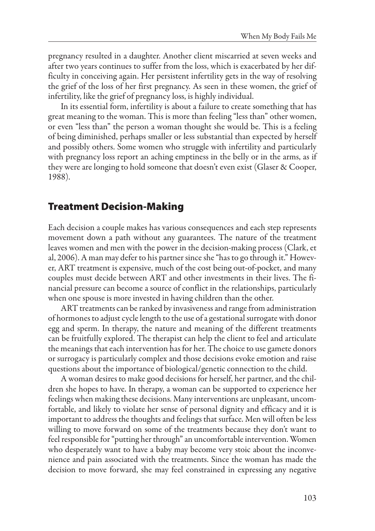pregnancy resulted in <sup>a</sup> daughter. Another client miscarried at seven weeks and after two years continues to suffer from the loss, which is exacerbated by her difficulty in conceiving again. Her persistent infertility gets in the way of resolving the grief of the loss of her first pregnancy. As seen in these women, the grief of infertility, like the grief of pregnancy loss, is highly individual.

[In](http/p0045) its essential form, infertility is about <sup>a</sup> failure to create something that has great meaning to the woman. This is more than feeling "less than" other women, or even "less than" the person <sup>a</sup> woman thought she would be. This is <sup>a</sup> feeling of being diminished, perhaps smaller or less substantial than expected by herself and possibly others. Some women who struggle with infertility and particularly with pregnancy loss report an aching emptiness in the belly or in the arms, as if they were are longing to hold someone that doesn't even exist (Glaser & Cooper, 1988).

## **[Tr](http/p0046)eatment Decision-Making**

[Ea](http/p0047)ch decision <sup>a</sup> couple makes has various consequences and each step represents movement down <sup>a</sup> path without any guarantees. The nature of the treatment leaves women and men with the power in the decision-making process (Clark, et al, 2006). A man may defer to his partner since she "has to go through it." However, ART treatment is expensive, much of the cost being out-of-pocket, and many couples must decide between ART and other investments in their lives. The financial pressure can become <sup>a</sup> source of conflict in the relationships, particularly when one spouse is more invested in having children than the other.

[AR](http/p0048)T treatments can be ranked by invasiveness and range from administration of hormones to adjust cycle length to the use of a gestational surrogate with donor egg and sperm. In therapy, the nature and meaning of the different treatments can be fruitfully explored. The therapist can help the client to feel and articulate the meanings that each intervention has for her. The choice to use gamete donors or surrogacy is particularly complex and those decisions evoke emotion and raise questions about the importance of biological/genetic connection to the child.

[A](http/p0049) woman desires to make good decisions for herself, her partner, and the children she hopes to have. In therapy, <sup>a</sup> woman can be supported to experience her feelings when making these decisions. Many interventions are unpleasant, uncomfortable, and likely to violate her sense of personal dignity and efficacy and it is important to address the thoughts and feelings that surface. Men will often be less willing to move forward on some of the treatments because they don't want to feel responsible for "putting her through" an uncomfortable intervention. Women who desperately want to have <sup>a</sup> baby may become very stoic about the inconvenience and pain associated with the treatments. Since the woman has made the decision to move forward, she may feel constrained in expressing any negative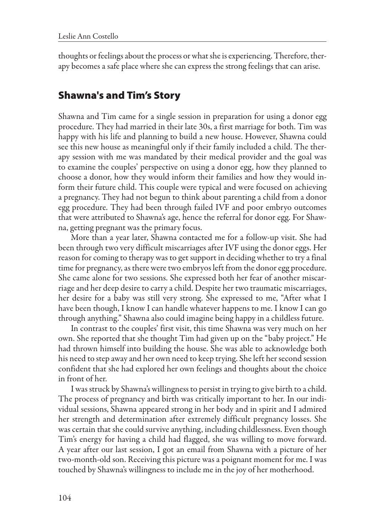thoughts or feelings about the process or what she is experiencing. Therefore, therapy becomes a safe place where she can express the strong feelings that can arise.

## **[Sh](http/p0050)awna's and Tim's Story**

[Sh](http/p0051)awna and Tim came for <sup>a</sup> single session in preparation for using <sup>a</sup> donor egg procedure. They had married in their late 30s, <sup>a</sup> first marriage for both. Tim was happy with his life and <sup>p</sup>lanning to build <sup>a</sup> new house. However, Shawna could see this new house as meaningful only if their family included <sup>a</sup> child. The therapy session with me was mandated by their medical provider and the goal was to examine the couples' perspective on using <sup>a</sup> donor egg, how they <sup>p</sup>lanned to choose <sup>a</sup> donor, how they would inform their families and how they would inform their future child. This couple were typical and were focused on achieving <sup>a</sup> pregnancy. They had not begun to think about parenting <sup>a</sup> child from <sup>a</sup> donor egg procedure. They had been through failed IVF and poor embryo outcomes that were attributed to Shawna's age, hence the referral for donor egg. For Shawna, getting pregnant was the primary focus.

[Mo](http/p0052)re than <sup>a</sup> year later, Shawna contacted me for <sup>a</sup> follow-up visit. She had been through two very difficult miscarriages after IVF using the donor eggs. Her reason for coming to therapy was to get support in deciding whether to try a final time for pregnancy, as there were two embryos left from the donor egg procedure. She came alone for two sessions. She expressed both her fear of another miscarriage and her deep desire to carry a child. Despite her two traumatic miscarriages, her desire for <sup>a</sup> baby was still very strong. She expressed to me, "After what <sup>I</sup> have been though, <sup>I</sup> know <sup>I</sup> can handle whatever happens to me. <sup>I</sup> know <sup>I</sup> can go through anything." Shawna also could imagine being happy in a childless future.

[In](http/p0053) contrast to the couples' first visit, this time Shawna was very much on her own. She reported that she thought Tim had <sup>g</sup>iven up on the "baby project." He had thrown himself into building the house. She was able to acknowledge both his need to step away and her own need to keep trying. Sheleft her second session confident that she had explored her own feelings and thoughts about the choice in front of her.

[I](http/p0054) was struck by Shawna's willingness to persist in trying to <sup>g</sup>ive birth to achild. The process of pregnancy and birth was critically important to her. In our individual sessions, Shawna appeared strong in her body and in spirit and <sup>I</sup> admired her strength and determination after extremely difficult pregnancy losses. She was certain that she could survive anything, including childlessness. Even though Tim's energy for having <sup>a</sup> child had flagged, she was willing to move forward. <sup>A</sup> year after our last session, <sup>I</sup> got an email from Shawna with <sup>a</sup> <sup>p</sup>icture of her two-month-old son. Receiving this picture was a poignant moment for me. I was touched by Shawna's willingness to include me in the joy of her motherhood.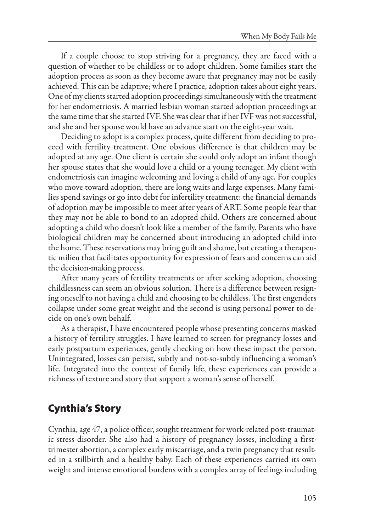[If](http/p0055) <sup>a</sup> couple choose to stop striving for <sup>a</sup> pregnancy, they are faced with <sup>a</sup> question of whether to be childless or to adopt children. Some families start the adoption process as soon as they become aware that pregnancy may not be easily achieved. This can be adaptive; where I practice, adoption takes about eight years. One of my clients started adoption proceedings simultaneously with the treatment for her endometriosis. <sup>A</sup> married lesbian woman started adoption proceedings at the same time that she started IVF. She was clear that if her IVF was not successful, and she and her spouse would have an advance start on the eight-year wait.

[De](http/p0056)ciding to adopt is a complex process, quite different from deciding to proceed with fertility treatment. One obvious difference is that children may be adopted at any age. One client is certain she could only adopt an infant though her spouse states that she would love <sup>a</sup> child or <sup>a</sup> young teenager. My client with endometriosis can imagine welcoming and loving <sup>a</sup> child of any age. For couples who move toward adoption, there are long waits and large expenses. Many families spend savings or go into debt for infertility treatment: the financial demands of adoption may be impossible to meet after years of ART. Some people fear that they may not be able to bond to an adopted child. Others are concerned about adopting <sup>a</sup> child who doesn't look like <sup>a</sup> member of the family. Parents who have biological children may be concerned about introducing an adopted child into the home. These reservations may bring guilt and shame, but creating a therapeutic milieu that facilitates opportunity for expression of fears and concerns can aid the decision-making process.

[Af](http/p0057)ter many years of fertility treatments or after seeking adoption, choosing childlessness can seem an obvious solution. There is <sup>a</sup> difference between resigning oneself to not having a child and choosing to be childless. The first engenders collapse under some great weight and the second is using personal power to decide on one's own behalf.

[As](http/p0058) <sup>a</sup> therapist, <sup>I</sup> have encountered people whose presenting concerns masked <sup>a</sup> history of fertility struggles. <sup>I</sup> have learned to screen for pregnancy losses and early postpartum experiences, gently checking on how these impact the person. Unintegrated, losses can persist, subtly and not-so-subtly influencing <sup>a</sup> woman's life. Integrated into the context of family life, these experiences can provide <sup>a</sup> richness of texture and story that support a woman's sense of herself.

## **[Cy](http/p0059)nthia's Story**

[Cy](http/p0060)nthia, age 47, a police officer, sought treatment for work-related post-traumatic stress disorder. She also had <sup>a</sup> history of pregnancy losses, including <sup>a</sup> firsttrimester abortion, a complex early miscarriage, and a twin pregnancy that resulted in <sup>a</sup> stillbirth and <sup>a</sup> healthy baby. Each of these experiences carried its own weight and intense emotional burdens with <sup>a</sup> complex array of feelings including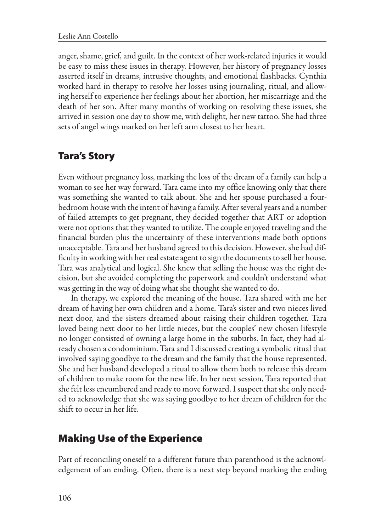anger, shame, grief, and guilt. In the context of her work-related injuries it would be easy to miss these issues in therapy. However, her history of pregnancy losses asserted itself in dreams, intrusive thoughts, and emotional flashbacks. Cynthia worked hard in therapy to resolve her losses using journaling, ritual, and allowing herself to experience her feelings about her abortion, her miscarriage and the death of her son. After many months of working on resolving these issues, she arrived in session one day to show me, with delight, her new tattoo. She had three sets of angel wings marked on her left arm closest to her heart.

## **[Ta](http/p0061)ra's Story**

[Ev](http/p0062)en without pregnancy loss, marking the loss of the dream of <sup>a</sup> family can help <sup>a</sup> woman to see her way forward. Tara came into my office knowing only that there was something she wanted to talk about. She and her spouse purchased <sup>a</sup> fourbedroom house with the intent of having a family. After several years and a number of failed attempts to get pregnant, they decided together that ART or adoption were not options that they wanted to utilize. The couple enjoyed traveling and the financial burden plus the uncertainty of these interventions made both options unacceptable. Tara and her husband agreed to this decision. However, she had difficulty in working with her real estate agent to sign the documents to sell her house. Tara was analytical and logical. She knew that selling the house was the right decision, but she avoided completing the paperwork and couldn't understand what was getting in the way of doing what she thought she wanted to do.

[In](http/p0063) therapy, we explored the meaning of the house. Tara shared with me her dream of having her own children and <sup>a</sup> home. Tara's sister and two nieces lived next door, and the sisters dreamed about raising their children together. Tara loved being next door to her little nieces, but the couples' new chosen lifestyle no longer consisted of owning <sup>a</sup> large home in the suburbs. In fact, they had already chosen a condominium. Tara and I discussed creating a symbolic ritual that involved saying goodbye to the dream and the family that the house represented. She and her husband developed <sup>a</sup> ritual to allow them both to release this dream of children to make room for the new life. In her next session, Tara reported that she felt less encumbered and ready to move forward. I suspect that she only needed to acknowledge that she was saying goodbye to her dream of children for the shift to occur in her life.

## **[Ma](http/p0064)king Use of the Experience**

[Pa](http/p0065)rt of reconciling oneself to <sup>a</sup> different future than parenthood is the acknowledgement of an ending. Often, there is <sup>a</sup> next step beyond marking the ending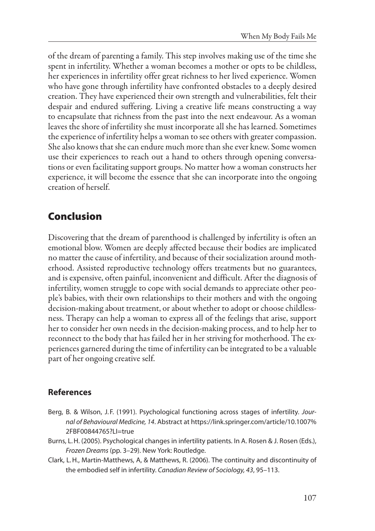of the dream of parenting <sup>a</sup> family. This step involves making use of the time she spent in infertility. Whether <sup>a</sup> woman becomes <sup>a</sup> mother or opts to be childless, her experiences in infertility offer great richness to her lived experience. Women who have gone through infertility have confronted obstacles to <sup>a</sup> deeply desired creation. They have experienced their own strength and vulnerabilities, felt their despair and endured suffering. Living <sup>a</sup> creative life means constructing <sup>a</sup> way to encapsulate that richness from the past into the next endeavour. As <sup>a</sup> woman leaves the shore of infertility she must incorporate all she has learned. Sometimes the experience of infertility helps a woman to see others with greater compassion. She also knows that she can endure much more than she ever knew. Some women use their experiences to reach out <sup>a</sup> hand to others through opening conversations or even facilitating support groups. No matter how a woman constructs her experience, it will become the essence that she can incorporate into the ongoing creation of herself.

## **[Co](http/p0066)nclusion**

[Di](http/p0067)scovering that the dream of parenthood is challenged by infertility is often an emotional blow. Women are deeply affected because their bodies are implicated no matter the cause of infertility, and because of their socialization around motherhood. Assisted reproductive technology offers treatments but no guarantees, and is expensive, often painful, inconvenient and difficult. After the diagnosis of infertility, women struggle to cope with social demands to appreciate other peo<sup>p</sup>le's babies, with their own relationships to their mothers and with the ongoing decision-making about treatment, or about whether to adopt or choose childlessness. Therapy can help <sup>a</sup> woman to express all of the feelings that arise, support her to consider her own needs in the decision-making process, and to help her to reconnect to the body that has failed her in her striving for motherhood. The experiences garnered during the time of infertility can be integrated to be a valuable part of her ongoing creative self.

#### **[Re](http/p0068)ferences**

- [Be](http/p0069)rg, B. & Wilson, J.F. (1991). Psychological functioning across stages of infertility. Jour*nal of Behavioural Medicine, <sup>14</sup>*. Abstract at https://link.springer.com/article/10.1007% 2FBF00844765?LI=true
- [Bu](http/p0070)rns, L.H. (2005). Psychological changes in infertility patients. In A. Rosen & J. Rosen (Eds.), *Frozen Dreams* (pp. 3–29). New York: Routledge.
- [C](http/p0071)lark, L.H., Martin-Matthews, A, & Matthews, R. (2006). The continuity and discontinuity of the embodied self in infertility. *Canadian Review of Sociology, 43*, 95–113.